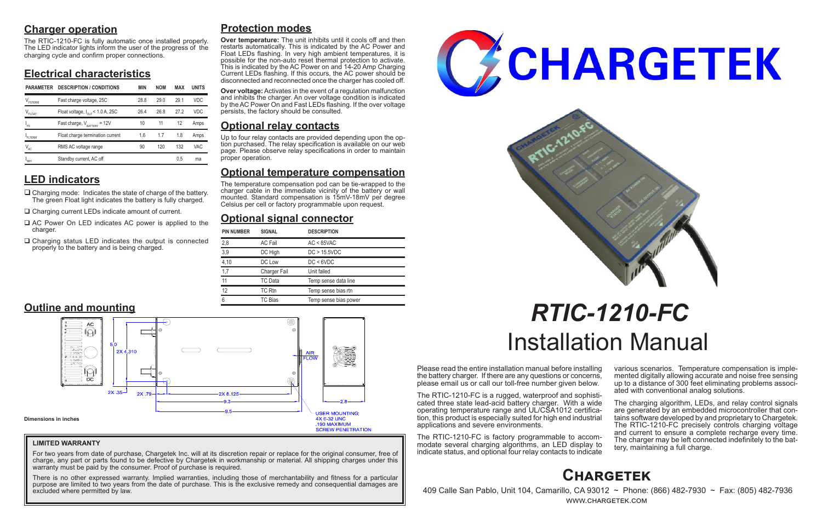# **Charger operation**

The RTIC-1210-FC is fully automatic once installed properly. The LED indicator lights inform the user of the progress of the charging cycle and confirm proper connections.

# **Electrical characteristics**

# **LED indicators**

- $\Box$  Charging mode: Indicates the state of charge of the battery. The green Float light indicates the battery is fully charged.
- □ Charging current LEDs indicate amount of current.
- $\Box$  AC Power On LED indicates AC power is applied to the charger.
- $\Box$  Charging status LED indicates the output is connected properly to the battery and is being charged.

Please read the entire installation manual before installing the battery charger. If there are any questions or concerns, please email us or call our toll-free number given below.

> The charging algorithm, LEDs, and relay control signals are generated by an embedded microcontroller that contains software developed by and proprietary to Chargetek. The RTIC-1210-FC precisely controls charging voltage and current to ensure a complete recharge every time. The charger may be left connected indefinitely to the bat- tery, maintaining a full charge.

The RTIC-1210-FC is a rugged, waterproof and sophisticated three state lead-acid battery charger. With a wide operating temperature range and UL/CSA1012 certification, this product is especially suited for high end industrial applications and severe environments.

The RTIC-1210-FC is factory programmable to accommodate several charging algorithms, an LED display to indicate status, and optional four relay contacts to indicate various scenarios. Temperature compensation is imple- mented digitally allowing accurate and noise free sensing up to a distance of 300 feet eliminating problems associ- ated with conventional analog solutions.

For two years from date of purchase, Chargetek Inc. will at its discretion repair or replace for the original consumer, free of charge, any part or parts found to be defective by Chargetek in workmanship or material. All shipping charges under this warranty must be paid by the consumer. Proof of purchase is required.

# *RTIC-1210-FC* Installation Manual

# **Protection modes**

**Over temperature:** The unit inhibits until it cools off and then restarts automatically. This is indicated by the AC Power and Float LEDs flashing. In very high ambient temperatures, it is possible for the non-auto reset thermal protection to activate. This is indicated by the AC Power on and 14-20 Amp Charging Current LEDs flashing. If this occurs, the AC power should be disconnected and reconnected once the charger has cooled off.

**Over voltage:** Activates in the event of a regulation malfunction and inhibits the charger. An over voltage condition is indicated by the AC Power On and Fast LEDs flashing. If the over voltage persists, the factory should be consulted.

# **Optional relay contacts**

Up to four relay contacts are provided depending upon the op- tion purchased. The relay specification is available on our web page. Please observe relay specifications in order to maintain proper operation.

# **Optional temperature compensation**

The temperature compensation pod can be tie-wrapped to the charger cable in the immediate vicinity of the battery or wall mounted. Standard compensation is 15mV-18mV per degree Celsius per cell or factory programmable upon request.

# **Optional signal connector**

# **Chargetek**

 409 Calle San Pablo, Unit 104, Camarillo, CA 93012 ~ Phone: (866) 482-7930 ~ Fax: (805) 482-7936 www.chargetek.com

| <b>PIN NUMBER</b> | <b>SIGNAL</b>       | <b>DESCRIPTION</b>    |
|-------------------|---------------------|-----------------------|
| 2,8               | <b>AC Fail</b>      | $AC < 85$ VAC         |
| 3,9               | DC High             | DC > 15.5VDC          |
| 4,10              | DC Low              | DC < 6VDC             |
| 1,7               | <b>Charger Fail</b> | Unit failed           |
| 11                | TC Data             | Temp sense data line  |
| 12                | TC Rtn              | Temp sense bias rtn   |
| 6                 | TC Bias             | Temp sense bias power |



#### **LIMITED WARRANTY**

There is no other expressed warranty. Implied warranties, including those of merchantability and fitness for a particular purpose are limited to two years from the date of purchase. This is the exclusive remedy and consequential damages are excluded where permitted by law.





| <b>PARAMETER</b> | <b>DESCRIPTION / CONDITIONS</b>              | <b>MIN</b> | <b>NOM</b> | MAX  | <b>UNITS</b> |
|------------------|----------------------------------------------|------------|------------|------|--------------|
| FSTERM           | Fast charge voltage, 25C                     | 28.8       | 290        | 291  | <b>VDC</b>   |
| $V_{FLOAT}$      | Float voltage, $I_{\text{out}}$ < 1.0 A, 25C | 26.4       | 26.8       | 27.2 | <b>VDC</b>   |
| ı<br>Fs          | Fast charge, $V_{\text{raffry}} = 12V$       | 10         | 11         | 12   | Amps         |
| FITERM           | Float charge termination current             | 1.6        | 1.7        | 1.8  | Amps         |
| $V_{AC}$         | RMS AC voltage range                         | 90         | 120        | 132  | <b>VAC</b>   |
| 'SBY             | Standby current, AC off                      |            |            | 0.5  | ma           |